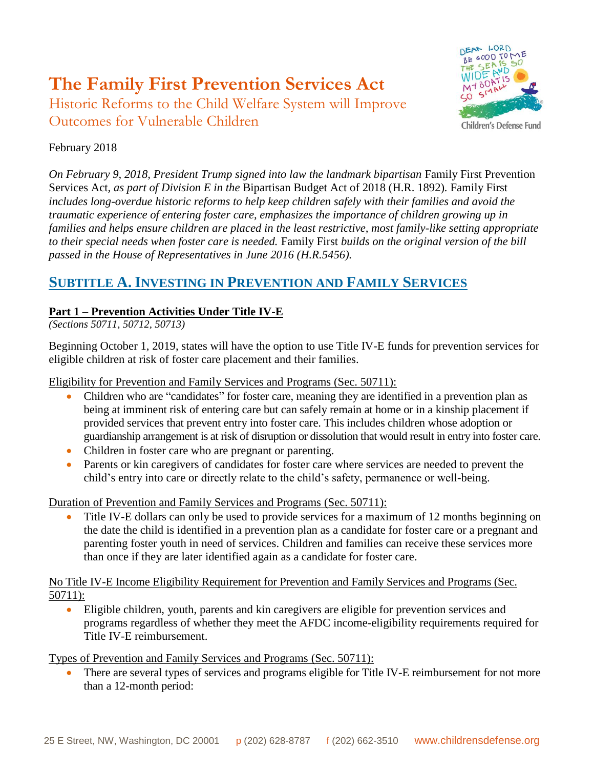# **The Family First Prevention Services Act**

Historic Reforms to the Child Welfare System will Improve Outcomes for Vulnerable Children



### February 2018

*On February 9, 2018, President Trump signed into law the landmark bipartisan* Family First Prevention Services Act*, as part of Division E in the* Bipartisan Budget Act of 2018 (H.R. 1892)*.* Family First *includes long-overdue historic reforms to help keep children safely with their families and avoid the traumatic experience of entering foster care, emphasizes the importance of children growing up in families and helps ensure children are placed in the least restrictive, most family-like setting appropriate to their special needs when foster care is needed.* Family First *builds on the original version of the bill passed in the House of Representatives in June 2016 (H.R.5456).*

### **SUBTITLE A. INVESTING IN PREVENTION AND FAMILY SERVICES**

### **Part 1 – Prevention Activities Under Title IV-E**

*(Sections 50711, 50712, 50713)*

Beginning October 1, 2019, states will have the option to use Title IV-E funds for prevention services for eligible children at risk of foster care placement and their families.

Eligibility for Prevention and Family Services and Programs (Sec. 50711):

- Children who are "candidates" for foster care, meaning they are identified in a prevention plan as being at imminent risk of entering care but can safely remain at home or in a kinship placement if provided services that prevent entry into foster care. This includes children whose adoption or guardianship arrangement is at risk of disruption or dissolution that would result in entry into foster care.
- Children in foster care who are pregnant or parenting.
- Parents or kin caregivers of candidates for foster care where services are needed to prevent the child's entry into care or directly relate to the child's safety, permanence or well-being.

Duration of Prevention and Family Services and Programs (Sec. 50711):

 Title IV-E dollars can only be used to provide services for a maximum of 12 months beginning on the date the child is identified in a prevention plan as a candidate for foster care or a pregnant and parenting foster youth in need of services. Children and families can receive these services more than once if they are later identified again as a candidate for foster care.

No Title IV-E Income Eligibility Requirement for Prevention and Family Services and Programs (Sec. 50711):

 Eligible children, youth, parents and kin caregivers are eligible for prevention services and programs regardless of whether they meet the AFDC income-eligibility requirements required for Title IV-E reimbursement.

Types of Prevention and Family Services and Programs (Sec. 50711):

• There are several types of services and programs eligible for Title IV-E reimbursement for not more than a 12-month period: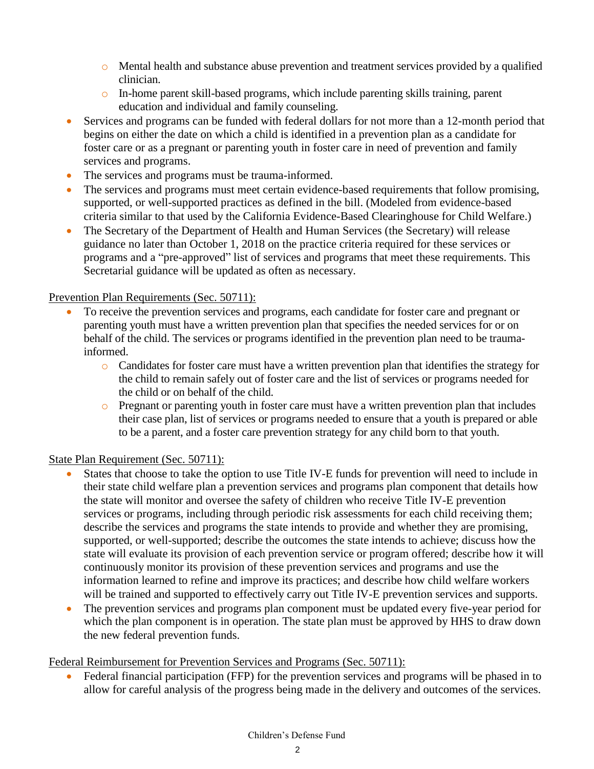- o Mental health and substance abuse prevention and treatment services provided by a qualified clinician.
- o In-home parent skill-based programs, which include parenting skills training, parent education and individual and family counseling.
- Services and programs can be funded with federal dollars for not more than a 12-month period that begins on either the date on which a child is identified in a prevention plan as a candidate for foster care or as a pregnant or parenting youth in foster care in need of prevention and family services and programs.
- The services and programs must be trauma-informed.
- The services and programs must meet certain evidence-based requirements that follow promising, supported, or well-supported practices as defined in the bill. (Modeled from evidence-based criteria similar to that used by the California Evidence-Based Clearinghouse for Child Welfare.)
- The Secretary of the Department of Health and Human Services (the Secretary) will release guidance no later than October 1, 2018 on the practice criteria required for these services or programs and a "pre-approved" list of services and programs that meet these requirements. This Secretarial guidance will be updated as often as necessary.

### Prevention Plan Requirements (Sec. 50711):

- To receive the prevention services and programs, each candidate for foster care and pregnant or parenting youth must have a written prevention plan that specifies the needed services for or on behalf of the child. The services or programs identified in the prevention plan need to be traumainformed.
	- o Candidates for foster care must have a written prevention plan that identifies the strategy for the child to remain safely out of foster care and the list of services or programs needed for the child or on behalf of the child.
	- o Pregnant or parenting youth in foster care must have a written prevention plan that includes their case plan, list of services or programs needed to ensure that a youth is prepared or able to be a parent, and a foster care prevention strategy for any child born to that youth.

### State Plan Requirement (Sec. 50711):

- States that choose to take the option to use Title IV-E funds for prevention will need to include in their state child welfare plan a prevention services and programs plan component that details how the state will monitor and oversee the safety of children who receive Title IV-E prevention services or programs, including through periodic risk assessments for each child receiving them; describe the services and programs the state intends to provide and whether they are promising, supported, or well-supported; describe the outcomes the state intends to achieve; discuss how the state will evaluate its provision of each prevention service or program offered; describe how it will continuously monitor its provision of these prevention services and programs and use the information learned to refine and improve its practices; and describe how child welfare workers will be trained and supported to effectively carry out Title IV-E prevention services and supports.
- The prevention services and programs plan component must be updated every five-year period for which the plan component is in operation. The state plan must be approved by HHS to draw down the new federal prevention funds.

### Federal Reimbursement for Prevention Services and Programs (Sec. 50711):

 Federal financial participation (FFP) for the prevention services and programs will be phased in to allow for careful analysis of the progress being made in the delivery and outcomes of the services.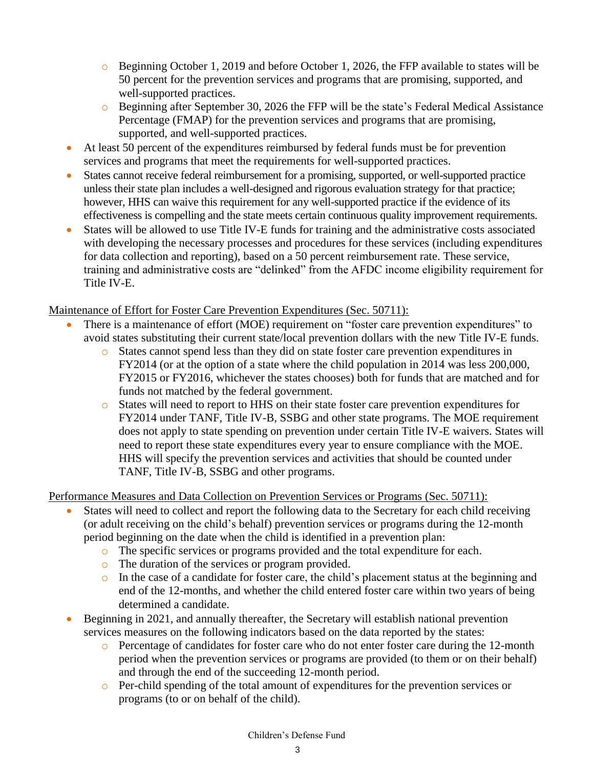- o Beginning October 1, 2019 and before October 1, 2026, the FFP available to states will be 50 percent for the prevention services and programs that are promising, supported, and well-supported practices.
- o Beginning after September 30, 2026 the FFP will be the state's Federal Medical Assistance Percentage (FMAP) for the prevention services and programs that are promising, supported, and well-supported practices.
- At least 50 percent of the expenditures reimbursed by federal funds must be for prevention services and programs that meet the requirements for well-supported practices.
- States cannot receive federal reimbursement for a promising, supported, or well-supported practice unless their state plan includes a well-designed and rigorous evaluation strategy for that practice; however, HHS can waive this requirement for any well-supported practice if the evidence of its effectiveness is compelling and the state meets certain continuous quality improvement requirements.
- States will be allowed to use Title IV-E funds for training and the administrative costs associated with developing the necessary processes and procedures for these services (including expenditures for data collection and reporting), based on a 50 percent reimbursement rate. These service, training and administrative costs are "delinked" from the AFDC income eligibility requirement for Title IV-E.

### Maintenance of Effort for Foster Care Prevention Expenditures (Sec. 50711):

- There is a maintenance of effort (MOE) requirement on "foster care prevention expenditures" to avoid states substituting their current state/local prevention dollars with the new Title IV-E funds.
	- o States cannot spend less than they did on state foster care prevention expenditures in FY2014 (or at the option of a state where the child population in 2014 was less 200,000, FY2015 or FY2016, whichever the states chooses) both for funds that are matched and for funds not matched by the federal government.
	- o States will need to report to HHS on their state foster care prevention expenditures for FY2014 under TANF, Title IV-B, SSBG and other state programs. The MOE requirement does not apply to state spending on prevention under certain Title IV-E waivers. States will need to report these state expenditures every year to ensure compliance with the MOE. HHS will specify the prevention services and activities that should be counted under TANF, Title IV-B, SSBG and other programs.

Performance Measures and Data Collection on Prevention Services or Programs (Sec. 50711):

- States will need to collect and report the following data to the Secretary for each child receiving (or adult receiving on the child's behalf) prevention services or programs during the 12-month period beginning on the date when the child is identified in a prevention plan:
	- o The specific services or programs provided and the total expenditure for each.
	- o The duration of the services or program provided.
	- o In the case of a candidate for foster care, the child's placement status at the beginning and end of the 12-months, and whether the child entered foster care within two years of being determined a candidate.
- Beginning in 2021, and annually thereafter, the Secretary will establish national prevention services measures on the following indicators based on the data reported by the states:
	- o Percentage of candidates for foster care who do not enter foster care during the 12-month period when the prevention services or programs are provided (to them or on their behalf) and through the end of the succeeding 12-month period.
	- o Per-child spending of the total amount of expenditures for the prevention services or programs (to or on behalf of the child).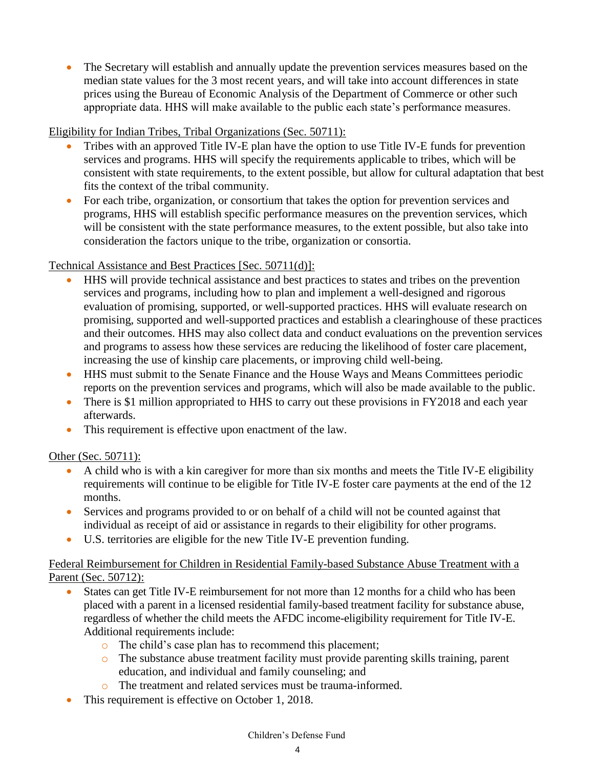The Secretary will establish and annually update the prevention services measures based on the median state values for the 3 most recent years, and will take into account differences in state prices using the Bureau of Economic Analysis of the Department of Commerce or other such appropriate data. HHS will make available to the public each state's performance measures.

Eligibility for Indian Tribes, Tribal Organizations (Sec. 50711):

- Tribes with an approved Title IV-E plan have the option to use Title IV-E funds for prevention services and programs. HHS will specify the requirements applicable to tribes, which will be consistent with state requirements, to the extent possible, but allow for cultural adaptation that best fits the context of the tribal community.
- For each tribe, organization, or consortium that takes the option for prevention services and programs, HHS will establish specific performance measures on the prevention services, which will be consistent with the state performance measures, to the extent possible, but also take into consideration the factors unique to the tribe, organization or consortia.

### Technical Assistance and Best Practices [Sec. 50711(d)]:

- HHS will provide technical assistance and best practices to states and tribes on the prevention services and programs, including how to plan and implement a well-designed and rigorous evaluation of promising, supported, or well-supported practices. HHS will evaluate research on promising, supported and well-supported practices and establish a clearinghouse of these practices and their outcomes. HHS may also collect data and conduct evaluations on the prevention services and programs to assess how these services are reducing the likelihood of foster care placement, increasing the use of kinship care placements, or improving child well-being.
- HHS must submit to the Senate Finance and the House Ways and Means Committees periodic reports on the prevention services and programs, which will also be made available to the public.
- There is \$1 million appropriated to HHS to carry out these provisions in FY2018 and each year afterwards.
- This requirement is effective upon enactment of the law.

### Other (Sec. 50711):

- A child who is with a kin caregiver for more than six months and meets the Title IV-E eligibility requirements will continue to be eligible for Title IV-E foster care payments at the end of the 12 months.
- Services and programs provided to or on behalf of a child will not be counted against that individual as receipt of aid or assistance in regards to their eligibility for other programs.
- U.S. territories are eligible for the new Title IV-E prevention funding.

### Federal Reimbursement for Children in Residential Family-based Substance Abuse Treatment with a Parent (Sec. 50712):

- States can get Title IV-E reimbursement for not more than 12 months for a child who has been placed with a parent in a licensed residential family-based treatment facility for substance abuse, regardless of whether the child meets the AFDC income-eligibility requirement for Title IV-E. Additional requirements include:
	- o The child's case plan has to recommend this placement;
	- o The substance abuse treatment facility must provide parenting skills training, parent education, and individual and family counseling; and
		- The treatment and related services must be trauma-informed.
- This requirement is effective on October 1, 2018.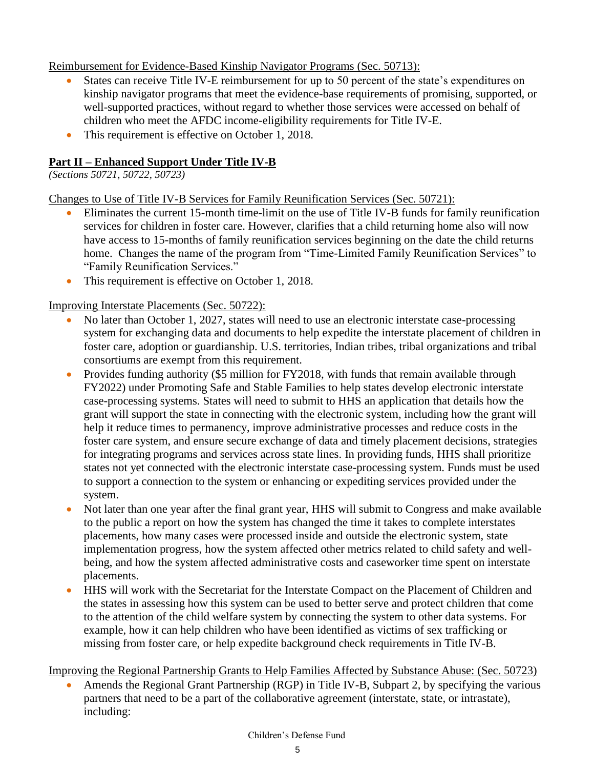Reimbursement for Evidence-Based Kinship Navigator Programs (Sec. 50713):

- States can receive Title IV-E reimbursement for up to 50 percent of the state's expenditures on kinship navigator programs that meet the evidence-base requirements of promising, supported, or well-supported practices, without regard to whether those services were accessed on behalf of children who meet the AFDC income-eligibility requirements for Title IV-E.
- This requirement is effective on October 1, 2018.

### **Part II – Enhanced Support Under Title IV-B**

*(Sections 50721, 50722, 50723)*

Changes to Use of Title IV-B Services for Family Reunification Services (Sec. 50721):

- Eliminates the current 15-month time-limit on the use of Title IV-B funds for family reunification services for children in foster care. However, clarifies that a child returning home also will now have access to 15-months of family reunification services beginning on the date the child returns home. Changes the name of the program from "Time-Limited Family Reunification Services" to "Family Reunification Services."
- This requirement is effective on October 1, 2018.

Improving Interstate Placements (Sec. 50722):

- No later than October 1, 2027, states will need to use an electronic interstate case-processing system for exchanging data and documents to help expedite the interstate placement of children in foster care, adoption or guardianship. U.S. territories, Indian tribes, tribal organizations and tribal consortiums are exempt from this requirement.
- Provides funding authority (\$5 million for FY2018, with funds that remain available through FY2022) under Promoting Safe and Stable Families to help states develop electronic interstate case-processing systems. States will need to submit to HHS an application that details how the grant will support the state in connecting with the electronic system, including how the grant will help it reduce times to permanency, improve administrative processes and reduce costs in the foster care system, and ensure secure exchange of data and timely placement decisions, strategies for integrating programs and services across state lines. In providing funds, HHS shall prioritize states not yet connected with the electronic interstate case-processing system. Funds must be used to support a connection to the system or enhancing or expediting services provided under the system.
- Not later than one year after the final grant year, HHS will submit to Congress and make available to the public a report on how the system has changed the time it takes to complete interstates placements, how many cases were processed inside and outside the electronic system, state implementation progress, how the system affected other metrics related to child safety and wellbeing, and how the system affected administrative costs and caseworker time spent on interstate placements.
- HHS will work with the Secretariat for the Interstate Compact on the Placement of Children and the states in assessing how this system can be used to better serve and protect children that come to the attention of the child welfare system by connecting the system to other data systems. For example, how it can help children who have been identified as victims of sex trafficking or missing from foster care, or help expedite background check requirements in Title IV-B.

Improving the Regional Partnership Grants to Help Families Affected by Substance Abuse: (Sec. 50723)

 Amends the Regional Grant Partnership (RGP) in Title IV-B, Subpart 2, by specifying the various partners that need to be a part of the collaborative agreement (interstate, state, or intrastate), including: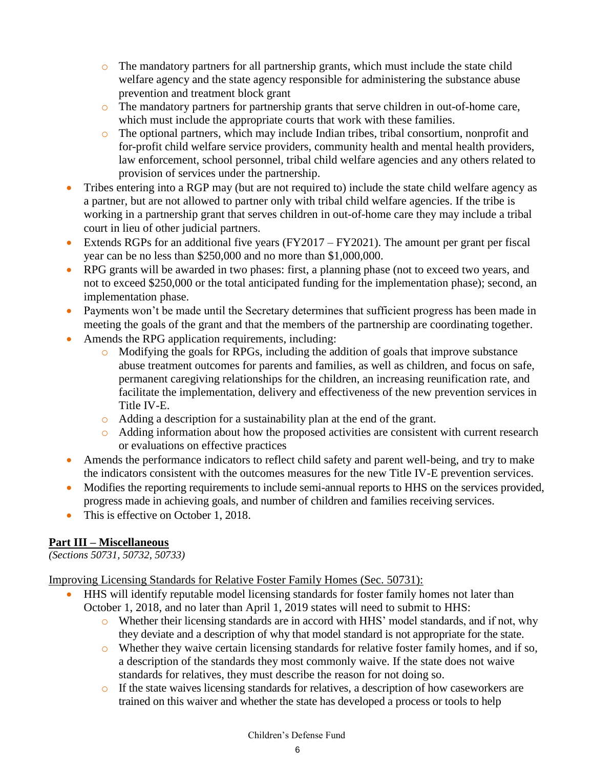- $\circ$  The mandatory partners for all partnership grants, which must include the state child welfare agency and the state agency responsible for administering the substance abuse prevention and treatment block grant
- o The mandatory partners for partnership grants that serve children in out-of-home care, which must include the appropriate courts that work with these families.
- o The optional partners, which may include Indian tribes, tribal consortium, nonprofit and for-profit child welfare service providers, community health and mental health providers, law enforcement, school personnel, tribal child welfare agencies and any others related to provision of services under the partnership.
- Tribes entering into a RGP may (but are not required to) include the state child welfare agency as a partner, but are not allowed to partner only with tribal child welfare agencies. If the tribe is working in a partnership grant that serves children in out-of-home care they may include a tribal court in lieu of other judicial partners.
- Extends RGPs for an additional five years  $(FY2017 FY2021)$ . The amount per grant per fiscal year can be no less than \$250,000 and no more than \$1,000,000.
- RPG grants will be awarded in two phases: first, a planning phase (not to exceed two years, and not to exceed \$250,000 or the total anticipated funding for the implementation phase); second, an implementation phase.
- Payments won't be made until the Secretary determines that sufficient progress has been made in meeting the goals of the grant and that the members of the partnership are coordinating together.
- Amends the RPG application requirements, including:
	- o Modifying the goals for RPGs, including the addition of goals that improve substance abuse treatment outcomes for parents and families, as well as children, and focus on safe, permanent caregiving relationships for the children, an increasing reunification rate, and facilitate the implementation, delivery and effectiveness of the new prevention services in Title IV-E.
	- o Adding a description for a sustainability plan at the end of the grant.
	- o Adding information about how the proposed activities are consistent with current research or evaluations on effective practices
- Amends the performance indicators to reflect child safety and parent well-being, and try to make the indicators consistent with the outcomes measures for the new Title IV-E prevention services.
- Modifies the reporting requirements to include semi-annual reports to HHS on the services provided, progress made in achieving goals, and number of children and families receiving services.
- This is effective on October 1, 2018.

### **Part III – Miscellaneous**

*(Sections 50731, 50732, 50733)*

Improving Licensing Standards for Relative Foster Family Homes (Sec. 50731):

- HHS will identify reputable model licensing standards for foster family homes not later than October 1, 2018, and no later than April 1, 2019 states will need to submit to HHS:
	- o Whether their licensing standards are in accord with HHS' model standards, and if not, why they deviate and a description of why that model standard is not appropriate for the state.
	- o Whether they waive certain licensing standards for relative foster family homes, and if so, a description of the standards they most commonly waive. If the state does not waive standards for relatives, they must describe the reason for not doing so.
	- o If the state waives licensing standards for relatives, a description of how caseworkers are trained on this waiver and whether the state has developed a process or tools to help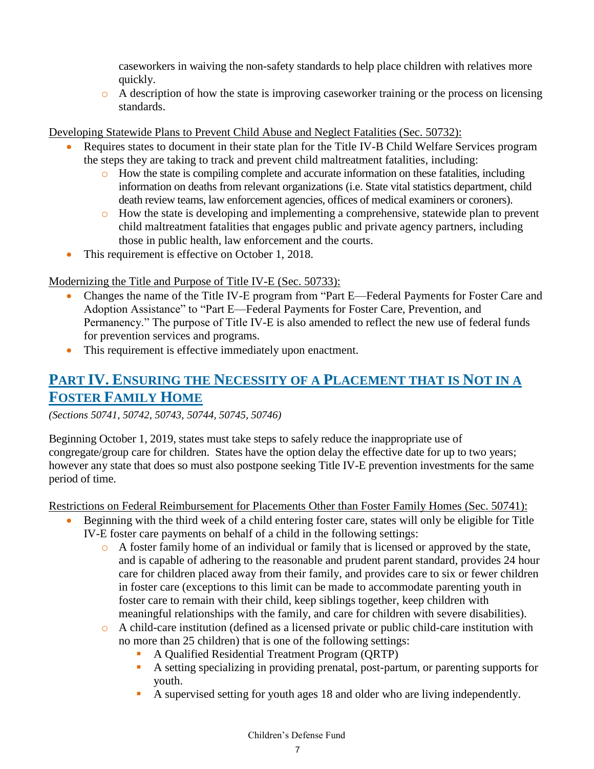caseworkers in waiving the non-safety standards to help place children with relatives more quickly.

 $\circ$  A description of how the state is improving caseworker training or the process on licensing standards.

Developing Statewide Plans to Prevent Child Abuse and Neglect Fatalities (Sec. 50732):

- Requires states to document in their state plan for the Title IV-B Child Welfare Services program the steps they are taking to track and prevent child maltreatment fatalities, including:
	- o How the state is compiling complete and accurate information on these fatalities, including information on deaths from relevant organizations (i.e. State vital statistics department, child death review teams, law enforcement agencies, offices of medical examiners or coroners).
	- o How the state is developing and implementing a comprehensive, statewide plan to prevent child maltreatment fatalities that engages public and private agency partners, including those in public health, law enforcement and the courts.
- This requirement is effective on October 1, 2018.

Modernizing the Title and Purpose of Title IV-E (Sec. 50733):

- Changes the name of the Title IV-E program from "Part E—Federal Payments for Foster Care and Adoption Assistance" to "Part E—Federal Payments for Foster Care, Prevention, and Permanency." The purpose of Title IV-E is also amended to reflect the new use of federal funds for prevention services and programs.
- This requirement is effective immediately upon enactment.

### **PART IV. ENSURING THE NECESSITY OF A PLACEMENT THAT IS NOT IN A FOSTER FAMILY HOME**

*(Sections 50741, 50742, 50743, 50744, 50745, 50746)*

Beginning October 1, 2019, states must take steps to safely reduce the inappropriate use of congregate/group care for children. States have the option delay the effective date for up to two years; however any state that does so must also postpone seeking Title IV-E prevention investments for the same period of time.

Restrictions on Federal Reimbursement for Placements Other than Foster Family Homes (Sec. 50741):

- Beginning with the third week of a child entering foster care, states will only be eligible for Title IV-E foster care payments on behalf of a child in the following settings:
	- $\circ$  A foster family home of an individual or family that is licensed or approved by the state, and is capable of adhering to the reasonable and prudent parent standard, provides 24 hour care for children placed away from their family, and provides care to six or fewer children in foster care (exceptions to this limit can be made to accommodate parenting youth in foster care to remain with their child, keep siblings together, keep children with meaningful relationships with the family, and care for children with severe disabilities).
	- o A child-care institution (defined as a licensed private or public child-care institution with no more than 25 children) that is one of the following settings:
		- A Qualified Residential Treatment Program (QRTP)
		- A setting specializing in providing prenatal, post-partum, or parenting supports for youth.
		- A supervised setting for youth ages 18 and older who are living independently.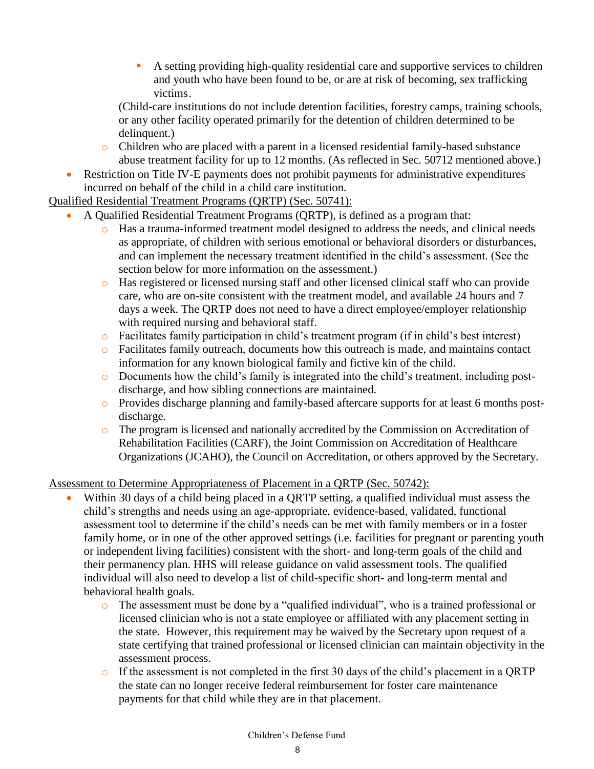A setting providing high-quality residential care and supportive services to children and youth who have been found to be, or are at risk of becoming, sex trafficking victims.

(Child-care institutions do not include detention facilities, forestry camps, training schools, or any other facility operated primarily for the detention of children determined to be delinquent.)

- o Children who are placed with a parent in a licensed residential family-based substance abuse treatment facility for up to 12 months. (As reflected in Sec. 50712 mentioned above.)
- Restriction on Title IV-E payments does not prohibit payments for administrative expenditures incurred on behalf of the child in a child care institution.

#### Qualified Residential Treatment Programs (QRTP) (Sec. 50741):

- A Qualified Residential Treatment Programs (QRTP), is defined as a program that:
	- o Has a trauma-informed treatment model designed to address the needs, and clinical needs as appropriate, of children with serious emotional or behavioral disorders or disturbances, and can implement the necessary treatment identified in the child's assessment. (See the section below for more information on the assessment.)
	- o Has registered or licensed nursing staff and other licensed clinical staff who can provide care, who are on-site consistent with the treatment model, and available 24 hours and 7 days a week. The QRTP does not need to have a direct employee/employer relationship with required nursing and behavioral staff.
	- o Facilitates family participation in child's treatment program (if in child's best interest)
	- o Facilitates family outreach, documents how this outreach is made, and maintains contact information for any known biological family and fictive kin of the child.
	- o Documents how the child's family is integrated into the child's treatment, including postdischarge, and how sibling connections are maintained.
	- o Provides discharge planning and family-based aftercare supports for at least 6 months postdischarge.
	- o The program is licensed and nationally accredited by the Commission on Accreditation of Rehabilitation Facilities (CARF), the Joint Commission on Accreditation of Healthcare Organizations (JCAHO), the Council on Accreditation, or others approved by the Secretary.

### Assessment to Determine Appropriateness of Placement in a QRTP (Sec. 50742):

- Within 30 days of a child being placed in a QRTP setting, a qualified individual must assess the child's strengths and needs using an age-appropriate, evidence-based, validated, functional assessment tool to determine if the child's needs can be met with family members or in a foster family home, or in one of the other approved settings (i.e. facilities for pregnant or parenting youth or independent living facilities) consistent with the short- and long-term goals of the child and their permanency plan. HHS will release guidance on valid assessment tools. The qualified individual will also need to develop a list of child-specific short- and long-term mental and behavioral health goals.
	- o The assessment must be done by a "qualified individual", who is a trained professional or licensed clinician who is not a state employee or affiliated with any placement setting in the state. However, this requirement may be waived by the Secretary upon request of a state certifying that trained professional or licensed clinician can maintain objectivity in the assessment process.
	- o If the assessment is not completed in the first 30 days of the child's placement in a QRTP the state can no longer receive federal reimbursement for foster care maintenance payments for that child while they are in that placement.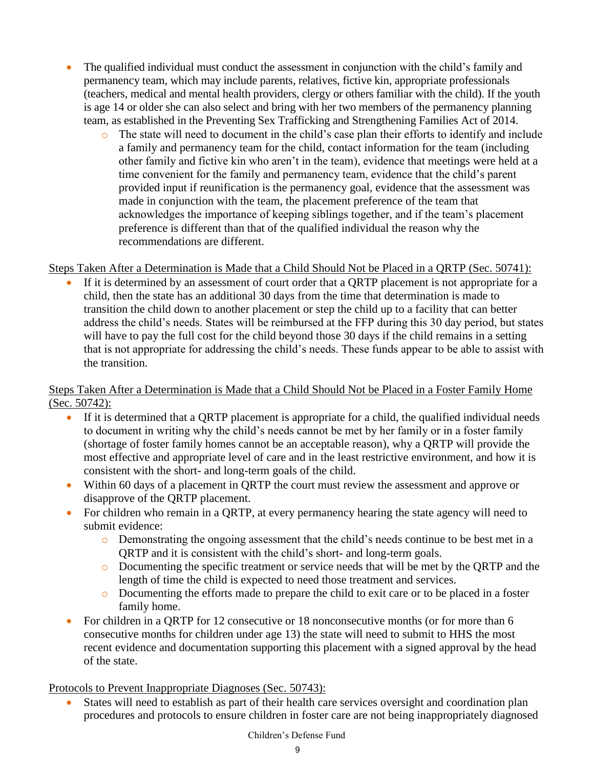- The qualified individual must conduct the assessment in conjunction with the child's family and permanency team, which may include parents, relatives, fictive kin, appropriate professionals (teachers, medical and mental health providers, clergy or others familiar with the child). If the youth is age 14 or older she can also select and bring with her two members of the permanency planning team, as established in the Preventing Sex Trafficking and Strengthening Families Act of 2014.
	- o The state will need to document in the child's case plan their efforts to identify and include a family and permanency team for the child, contact information for the team (including other family and fictive kin who aren't in the team), evidence that meetings were held at a time convenient for the family and permanency team, evidence that the child's parent provided input if reunification is the permanency goal, evidence that the assessment was made in conjunction with the team, the placement preference of the team that acknowledges the importance of keeping siblings together, and if the team's placement preference is different than that of the qualified individual the reason why the recommendations are different.

### Steps Taken After a Determination is Made that a Child Should Not be Placed in a QRTP (Sec. 50741):

 If it is determined by an assessment of court order that a QRTP placement is not appropriate for a child, then the state has an additional 30 days from the time that determination is made to transition the child down to another placement or step the child up to a facility that can better address the child's needs. States will be reimbursed at the FFP during this 30 day period, but states will have to pay the full cost for the child beyond those 30 days if the child remains in a setting that is not appropriate for addressing the child's needs. These funds appear to be able to assist with the transition.

#### Steps Taken After a Determination is Made that a Child Should Not be Placed in a Foster Family Home (Sec. 50742):

- If it is determined that a QRTP placement is appropriate for a child, the qualified individual needs to document in writing why the child's needs cannot be met by her family or in a foster family (shortage of foster family homes cannot be an acceptable reason), why a QRTP will provide the most effective and appropriate level of care and in the least restrictive environment, and how it is consistent with the short- and long-term goals of the child.
- Within 60 days of a placement in QRTP the court must review the assessment and approve or disapprove of the QRTP placement.
- For children who remain in a QRTP, at every permanency hearing the state agency will need to submit evidence:
	- o Demonstrating the ongoing assessment that the child's needs continue to be best met in a QRTP and it is consistent with the child's short- and long-term goals.
	- o Documenting the specific treatment or service needs that will be met by the QRTP and the length of time the child is expected to need those treatment and services.
	- o Documenting the efforts made to prepare the child to exit care or to be placed in a foster family home.
- For children in a QRTP for 12 consecutive or 18 nonconsecutive months (or for more than 6 consecutive months for children under age 13) the state will need to submit to HHS the most recent evidence and documentation supporting this placement with a signed approval by the head of the state.

#### Protocols to Prevent Inappropriate Diagnoses (Sec. 50743):

 States will need to establish as part of their health care services oversight and coordination plan procedures and protocols to ensure children in foster care are not being inappropriately diagnosed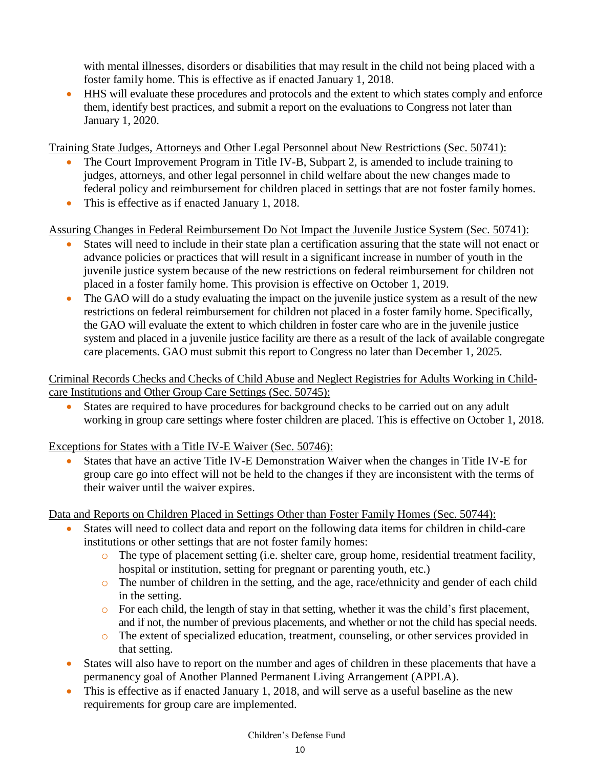with mental illnesses, disorders or disabilities that may result in the child not being placed with a foster family home. This is effective as if enacted January 1, 2018.

 HHS will evaluate these procedures and protocols and the extent to which states comply and enforce them, identify best practices, and submit a report on the evaluations to Congress not later than January 1, 2020.

Training State Judges, Attorneys and Other Legal Personnel about New Restrictions (Sec. 50741):

- The Court Improvement Program in Title IV-B, Subpart 2, is amended to include training to judges, attorneys, and other legal personnel in child welfare about the new changes made to federal policy and reimbursement for children placed in settings that are not foster family homes.
- This is effective as if enacted January 1, 2018.

Assuring Changes in Federal Reimbursement Do Not Impact the Juvenile Justice System (Sec. 50741):

- States will need to include in their state plan a certification assuring that the state will not enact or advance policies or practices that will result in a significant increase in number of youth in the juvenile justice system because of the new restrictions on federal reimbursement for children not placed in a foster family home. This provision is effective on October 1, 2019.
- The GAO will do a study evaluating the impact on the juvenile justice system as a result of the new restrictions on federal reimbursement for children not placed in a foster family home. Specifically, the GAO will evaluate the extent to which children in foster care who are in the juvenile justice system and placed in a juvenile justice facility are there as a result of the lack of available congregate care placements. GAO must submit this report to Congress no later than December 1, 2025.

Criminal Records Checks and Checks of Child Abuse and Neglect Registries for Adults Working in Childcare Institutions and Other Group Care Settings (Sec. 50745):

 States are required to have procedures for background checks to be carried out on any adult working in group care settings where foster children are placed. This is effective on October 1, 2018.

Exceptions for States with a Title IV-E Waiver (Sec. 50746):

 States that have an active Title IV-E Demonstration Waiver when the changes in Title IV-E for group care go into effect will not be held to the changes if they are inconsistent with the terms of their waiver until the waiver expires.

Data and Reports on Children Placed in Settings Other than Foster Family Homes (Sec. 50744):

- States will need to collect data and report on the following data items for children in child-care institutions or other settings that are not foster family homes:
	- o The type of placement setting (i.e. shelter care, group home, residential treatment facility, hospital or institution, setting for pregnant or parenting youth, etc.)
	- o The number of children in the setting, and the age, race/ethnicity and gender of each child in the setting.
	- o For each child, the length of stay in that setting, whether it was the child's first placement, and if not, the number of previous placements, and whether or not the child has special needs.
	- o The extent of specialized education, treatment, counseling, or other services provided in that setting.
- States will also have to report on the number and ages of children in these placements that have a permanency goal of Another Planned Permanent Living Arrangement (APPLA).
- This is effective as if enacted January 1, 2018, and will serve as a useful baseline as the new requirements for group care are implemented.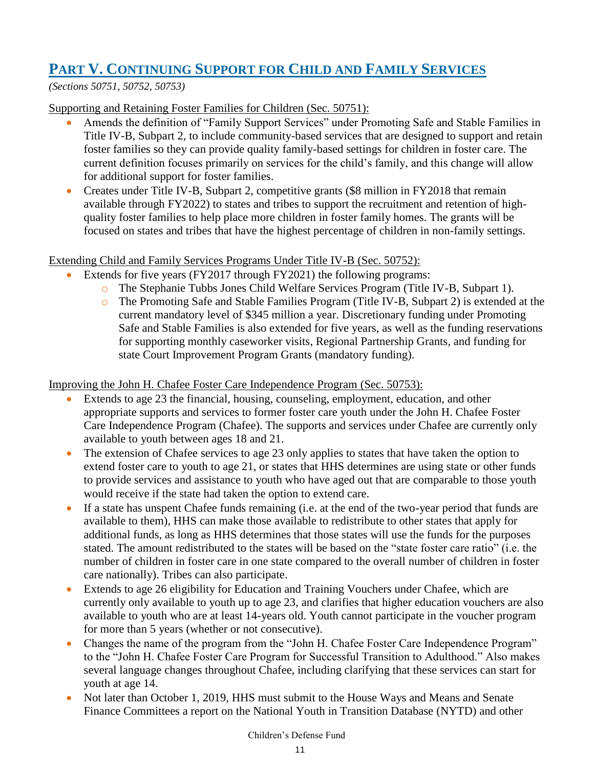## **PART V. CONTINUING SUPPORT FOR CHILD AND FAMILY SERVICES**

*(Sections 50751, 50752, 50753)* 

Supporting and Retaining Foster Families for Children (Sec. 50751):

- Amends the definition of "Family Support Services" under Promoting Safe and Stable Families in Title IV-B, Subpart 2, to include community-based services that are designed to support and retain foster families so they can provide quality family-based settings for children in foster care. The current definition focuses primarily on services for the child's family, and this change will allow for additional support for foster families.
- Creates under Title IV-B, Subpart 2, competitive grants (\$8 million in FY2018 that remain available through FY2022) to states and tribes to support the recruitment and retention of highquality foster families to help place more children in foster family homes. The grants will be focused on states and tribes that have the highest percentage of children in non-family settings.

### Extending Child and Family Services Programs Under Title IV-B (Sec. 50752):

- Extends for five years (FY2017 through FY2021) the following programs:
	- o The Stephanie Tubbs Jones Child Welfare Services Program (Title IV-B, Subpart 1).
	- o The Promoting Safe and Stable Families Program (Title IV-B, Subpart 2) is extended at the current mandatory level of \$345 million a year. Discretionary funding under Promoting Safe and Stable Families is also extended for five years, as well as the funding reservations for supporting monthly caseworker visits, Regional Partnership Grants, and funding for state Court Improvement Program Grants (mandatory funding).

Improving the John H. Chafee Foster Care Independence Program (Sec. 50753):

- Extends to age 23 the financial, housing, counseling, employment, education, and other appropriate supports and services to former foster care youth under the John H. Chafee Foster Care Independence Program (Chafee). The supports and services under Chafee are currently only available to youth between ages 18 and 21.
- The extension of Chafee services to age 23 only applies to states that have taken the option to extend foster care to youth to age 21, or states that HHS determines are using state or other funds to provide services and assistance to youth who have aged out that are comparable to those youth would receive if the state had taken the option to extend care.
- If a state has unspent Chafee funds remaining (i.e. at the end of the two-year period that funds are available to them), HHS can make those available to redistribute to other states that apply for additional funds, as long as HHS determines that those states will use the funds for the purposes stated. The amount redistributed to the states will be based on the "state foster care ratio" (i.e. the number of children in foster care in one state compared to the overall number of children in foster care nationally). Tribes can also participate.
- Extends to age 26 eligibility for Education and Training Vouchers under Chafee, which are currently only available to youth up to age 23, and clarifies that higher education vouchers are also available to youth who are at least 14-years old. Youth cannot participate in the voucher program for more than 5 years (whether or not consecutive).
- Changes the name of the program from the "John H. Chafee Foster Care Independence Program" to the "John H. Chafee Foster Care Program for Successful Transition to Adulthood." Also makes several language changes throughout Chafee, including clarifying that these services can start for youth at age 14.
- Not later than October 1, 2019, HHS must submit to the House Ways and Means and Senate Finance Committees a report on the National Youth in Transition Database (NYTD) and other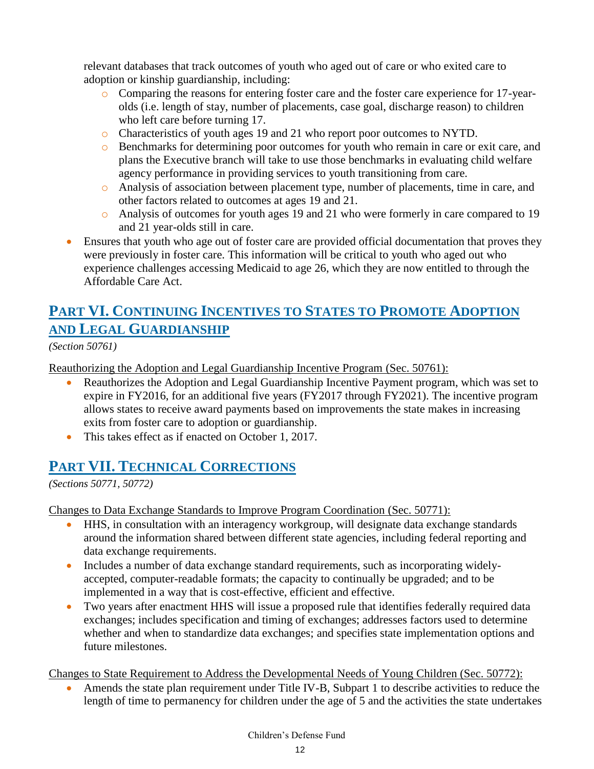relevant databases that track outcomes of youth who aged out of care or who exited care to adoption or kinship guardianship, including:

- o Comparing the reasons for entering foster care and the foster care experience for 17-yearolds (i.e. length of stay, number of placements, case goal, discharge reason) to children who left care before turning 17.
- o Characteristics of youth ages 19 and 21 who report poor outcomes to NYTD.
- o Benchmarks for determining poor outcomes for youth who remain in care or exit care, and plans the Executive branch will take to use those benchmarks in evaluating child welfare agency performance in providing services to youth transitioning from care.
- o Analysis of association between placement type, number of placements, time in care, and other factors related to outcomes at ages 19 and 21.
- o Analysis of outcomes for youth ages 19 and 21 who were formerly in care compared to 19 and 21 year-olds still in care.
- Ensures that youth who age out of foster care are provided official documentation that proves they were previously in foster care. This information will be critical to youth who aged out who experience challenges accessing Medicaid to age 26, which they are now entitled to through the Affordable Care Act.

# **PART VI. CONTINUING INCENTIVES TO STATES TO PROMOTE ADOPTION AND LEGAL GUARDIANSHIP**

*(Section 50761)* 

Reauthorizing the Adoption and Legal Guardianship Incentive Program (Sec. 50761):

- Reauthorizes the Adoption and Legal Guardianship Incentive Payment program, which was set to expire in FY2016, for an additional five years (FY2017 through FY2021). The incentive program allows states to receive award payments based on improvements the state makes in increasing exits from foster care to adoption or guardianship.
- This takes effect as if enacted on October 1, 2017.

### **PART VII. TECHNICAL CORRECTIONS**

*(Sections 50771, 50772)*

Changes to Data Exchange Standards to Improve Program Coordination (Sec. 50771):

- HHS, in consultation with an interagency workgroup, will designate data exchange standards around the information shared between different state agencies, including federal reporting and data exchange requirements.
- Includes a number of data exchange standard requirements, such as incorporating widelyaccepted, computer-readable formats; the capacity to continually be upgraded; and to be implemented in a way that is cost-effective, efficient and effective.
- Two years after enactment HHS will issue a proposed rule that identifies federally required data exchanges; includes specification and timing of exchanges; addresses factors used to determine whether and when to standardize data exchanges; and specifies state implementation options and future milestones.

Changes to State Requirement to Address the Developmental Needs of Young Children (Sec. 50772):

 Amends the state plan requirement under Title IV-B, Subpart 1 to describe activities to reduce the length of time to permanency for children under the age of 5 and the activities the state undertakes